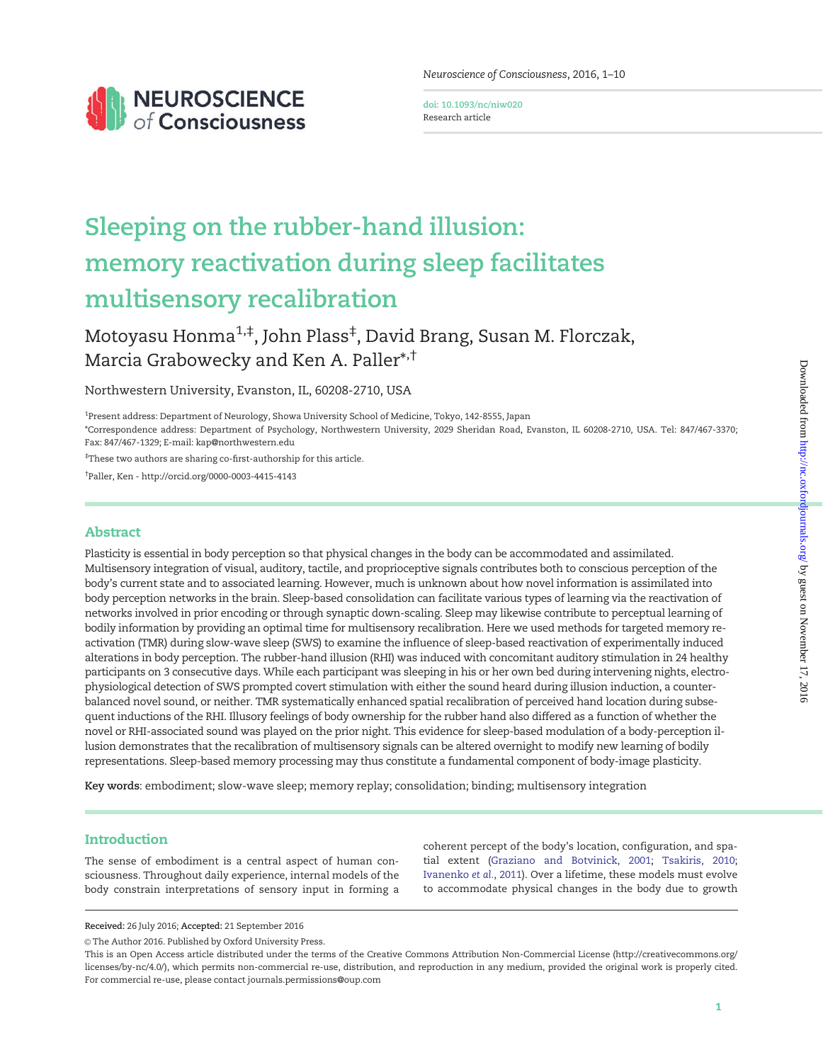

Neuroscience of Consciousness, 2016, 1–10

doi: 10.1093/nc/niw020 Research article

# Sleeping on the rubber-hand illusion: memory reactivation during sleep facilitates multisensory recalibration

# Motoyasu Honma<sup>1,‡</sup>, John Plass<sup>‡</sup>, David Brang, Susan M. Florczak, Marcia Grabowecky and Ken A. Paller\*,†

Northwestern University, Evanston, IL, 60208-2710, USA

<sup>1</sup>Present address: Department of Neurology, Showa University School of Medicine, Tokyo, 142-8555, Japan

\*Correspondence address: Department of Psychology, Northwestern University, 2029 Sheridan Road, Evanston, IL 60208-2710, USA. Tel: 847/467-3370; Fax: 847/467-1329; E-mail: kap@northwestern.edu

‡ These two authors are sharing co-first-authorship for this article.

† Paller, Ken -<http://orcid.org/0000-0003-4415-4143>

#### Abstract

Plasticity is essential in body perception so that physical changes in the body can be accommodated and assimilated. Multisensory integration of visual, auditory, tactile, and proprioceptive signals contributes both to conscious perception of the body's current state and to associated learning. However, much is unknown about how novel information is assimilated into body perception networks in the brain. Sleep-based consolidation can facilitate various types of learning via the reactivation of networks involved in prior encoding or through synaptic down-scaling. Sleep may likewise contribute to perceptual learning of bodily information by providing an optimal time for multisensory recalibration. Here we used methods for targeted memory reactivation (TMR) during slow-wave sleep (SWS) to examine the influence of sleep-based reactivation of experimentally induced alterations in body perception. The rubber-hand illusion (RHI) was induced with concomitant auditory stimulation in 24 healthy participants on 3 consecutive days. While each participant was sleeping in his or her own bed during intervening nights, electrophysiological detection of SWS prompted covert stimulation with either the sound heard during illusion induction, a counterbalanced novel sound, or neither. TMR systematically enhanced spatial recalibration of perceived hand location during subsequent inductions of the RHI. Illusory feelings of body ownership for the rubber hand also differed as a function of whether the novel or RHI-associated sound was played on the prior night. This evidence for sleep-based modulation of a body-perception illusion demonstrates that the recalibration of multisensory signals can be altered overnight to modify new learning of bodily representations. Sleep-based memory processing may thus constitute a fundamental component of body-image plasticity.

Key words: embodiment; slow-wave sleep; memory replay; consolidation; binding; multisensory integration

# **Introduction**

The sense of embodiment is a central aspect of human consciousness. Throughout daily experience, internal models of the body constrain interpretations of sensory input in forming a coherent percept of the body's location, configuration, and spatial extent ([Graziano and Botvinick, 2001;](#page-8-0) [Tsakiris, 2010](#page-9-0); [Ivanenko](#page-8-0) et al., 2011). Over a lifetime, these models must evolve to accommodate physical changes in the body due to growth

Received: 26 July 2016; Accepted: 21 September 2016

<sup>©</sup> The Author 2016. Published by Oxford University Press.

This is an Open Access article distributed under the terms of the Creative Commons Attribution Non-Commercial License (http://creativecommons.org/ licenses/by-nc/4.0/), which permits non-commercial re-use, distribution, and reproduction in any medium, provided the original work is properly cited. For commercial re-use, please contact journals.permissions@oup.com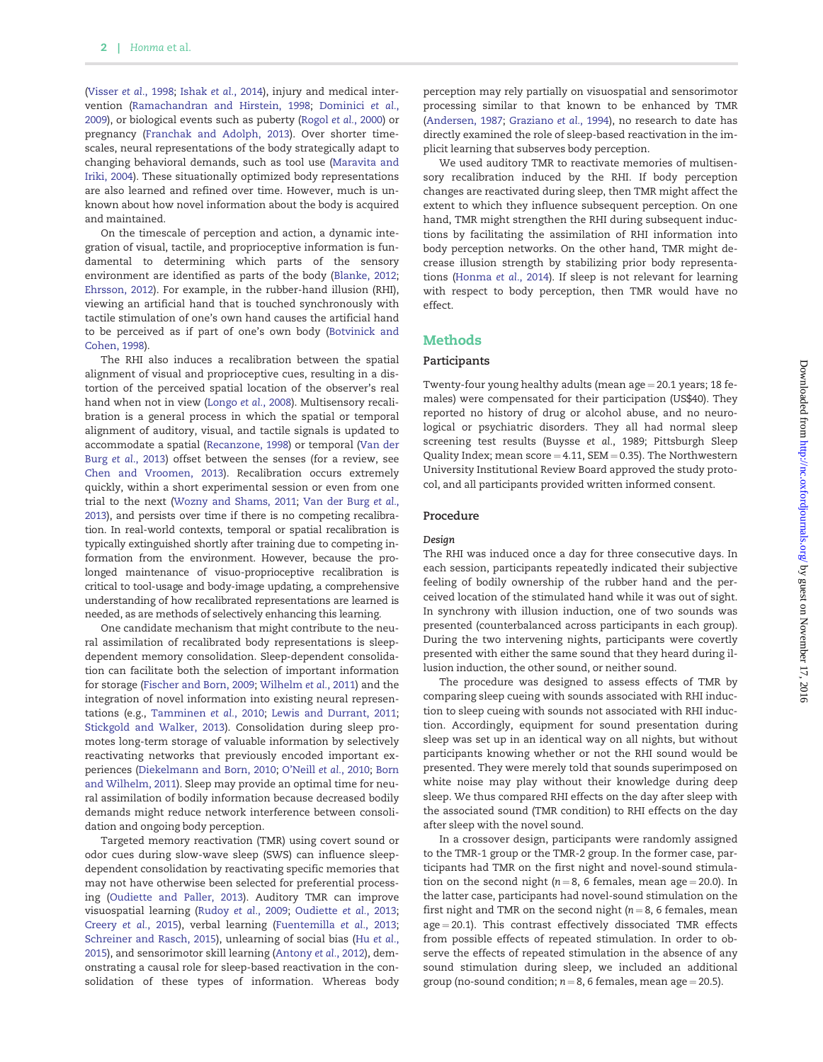[\(Visser](#page-9-0) et al., 1998; Ishak et al.[, 2014\)](#page-8-0), injury and medical intervention [\(Ramachandran and Hirstein, 1998](#page-8-0); [Dominici](#page-8-0) et al., [2009\)](#page-8-0), or biological events such as puberty (Rogol et al.[, 2000\)](#page-8-0) or pregnancy ([Franchak and Adolph, 2013\)](#page-8-0). Over shorter timescales, neural representations of the body strategically adapt to changing behavioral demands, such as tool use ([Maravita and](#page-8-0) [Iriki, 2004](#page-8-0)). These situationally optimized body representations are also learned and refined over time. However, much is unknown about how novel information about the body is acquired and maintained.

On the timescale of perception and action, a dynamic integration of visual, tactile, and proprioceptive information is fundamental to determining which parts of the sensory environment are identified as parts of the body ([Blanke, 2012](#page-7-0); [Ehrsson, 2012](#page-8-0)). For example, in the rubber-hand illusion (RHI), viewing an artificial hand that is touched synchronously with tactile stimulation of one's own hand causes the artificial hand to be perceived as if part of one's own body ([Botvinick and](#page-7-0) [Cohen, 1998](#page-7-0)).

The RHI also induces a recalibration between the spatial alignment of visual and proprioceptive cues, resulting in a distortion of the perceived spatial location of the observer's real hand when not in view [\(Longo](#page-8-0) et al., 2008). Multisensory recalibration is a general process in which the spatial or temporal alignment of auditory, visual, and tactile signals is updated to accommodate a spatial ([Recanzone, 1998\)](#page-8-0) or temporal ([Van der](#page-9-0) Burg et al[., 2013](#page-9-0)) offset between the senses (for a review, see [Chen and Vroomen, 2013](#page-8-0)). Recalibration occurs extremely quickly, within a short experimental session or even from one trial to the next [\(Wozny and Shams, 2011;](#page-9-0) [Van der Burg](#page-9-0) et al., [2013](#page-9-0)), and persists over time if there is no competing recalibration. In real-world contexts, temporal or spatial recalibration is typically extinguished shortly after training due to competing information from the environment. However, because the prolonged maintenance of visuo-proprioceptive recalibration is critical to tool-usage and body-image updating, a comprehensive understanding of how recalibrated representations are learned is needed, as are methods of selectively enhancing this learning.

One candidate mechanism that might contribute to the neural assimilation of recalibrated body representations is sleepdependent memory consolidation. Sleep-dependent consolidation can facilitate both the selection of important information for storage ([Fischer and Born, 2009](#page-8-0); [Wilhelm](#page-9-0) et al., 2011) and the integration of novel information into existing neural representations (e.g., [Tamminen](#page-9-0) et al., 2010; [Lewis and Durrant, 2011](#page-8-0); [Stickgold and Walker, 2013](#page-9-0)). Consolidation during sleep promotes long-term storage of valuable information by selectively reactivating networks that previously encoded important experiences [\(Diekelmann and Born, 2010;](#page-8-0) [O'Neill](#page-8-0) et al., 2010; [Born](#page-7-0) [and Wilhelm, 2011](#page-7-0)). Sleep may provide an optimal time for neural assimilation of bodily information because decreased bodily demands might reduce network interference between consolidation and ongoing body perception.

Targeted memory reactivation (TMR) using covert sound or odor cues during slow-wave sleep (SWS) can influence sleepdependent consolidation by reactivating specific memories that may not have otherwise been selected for preferential processing ([Oudiette and Paller, 2013\)](#page-8-0). Auditory TMR can improve visuospatial learning [\(Rudoy](#page-8-0) et al., 2009; [Oudiette](#page-8-0) et al., 2013; [Creery](#page-8-0) et al., 2015), verbal learning [\(Fuentemilla](#page-8-0) et al., 2013; [Schreiner and Rasch, 2015\)](#page-9-0), unlearning of social bias (Hu [et al.](#page-8-0), [2015\)](#page-8-0), and sensorimotor skill learning [\(Antony](#page-7-0) et al., 2012), demonstrating a causal role for sleep-based reactivation in the consolidation of these types of information. Whereas body perception may rely partially on visuospatial and sensorimotor processing similar to that known to be enhanced by TMR [\(Andersen, 1987](#page-7-0); [Graziano](#page-8-0) et al., 1994), no research to date has directly examined the role of sleep-based reactivation in the implicit learning that subserves body perception.

We used auditory TMR to reactivate memories of multisensory recalibration induced by the RHI. If body perception changes are reactivated during sleep, then TMR might affect the extent to which they influence subsequent perception. On one hand, TMR might strengthen the RHI during subsequent inductions by facilitating the assimilation of RHI information into body perception networks. On the other hand, TMR might decrease illusion strength by stabilizing prior body representations [\(Honma](#page-8-0) et al., 2014). If sleep is not relevant for learning with respect to body perception, then TMR would have no effect.

# Methods

#### Participants

Twenty-four young healthy adults (mean  $age = 20.1$  years; 18 females) were compensated for their participation (US\$40). They reported no history of drug or alcohol abuse, and no neurological or psychiatric disorders. They all had normal sleep screening test results (Buysse et al., 1989; Pittsburgh Sleep Quality Index; mean  $score = 4.11$ ,  $SEM = 0.35$ ). The Northwestern University Institutional Review Board approved the study protocol, and all participants provided written informed consent.

#### Procedure

#### Design

The RHI was induced once a day for three consecutive days. In each session, participants repeatedly indicated their subjective feeling of bodily ownership of the rubber hand and the perceived location of the stimulated hand while it was out of sight. In synchrony with illusion induction, one of two sounds was presented (counterbalanced across participants in each group). During the two intervening nights, participants were covertly presented with either the same sound that they heard during illusion induction, the other sound, or neither sound.

The procedure was designed to assess effects of TMR by comparing sleep cueing with sounds associated with RHI induction to sleep cueing with sounds not associated with RHI induction. Accordingly, equipment for sound presentation during sleep was set up in an identical way on all nights, but without participants knowing whether or not the RHI sound would be presented. They were merely told that sounds superimposed on white noise may play without their knowledge during deep sleep. We thus compared RHI effects on the day after sleep with the associated sound (TMR condition) to RHI effects on the day after sleep with the novel sound.

In a crossover design, participants were randomly assigned to the TMR-1 group or the TMR-2 group. In the former case, participants had TMR on the first night and novel-sound stimulation on the second night ( $n = 8$ , 6 females, mean age = 20.0). In the latter case, participants had novel-sound stimulation on the first night and TMR on the second night ( $n = 8$ , 6 females, mean  $age = 20.1$ ). This contrast effectively dissociated TMR effects from possible effects of repeated stimulation. In order to observe the effects of repeated stimulation in the absence of any sound stimulation during sleep, we included an additional group (no-sound condition;  $n = 8$ , 6 females, mean age = 20.5).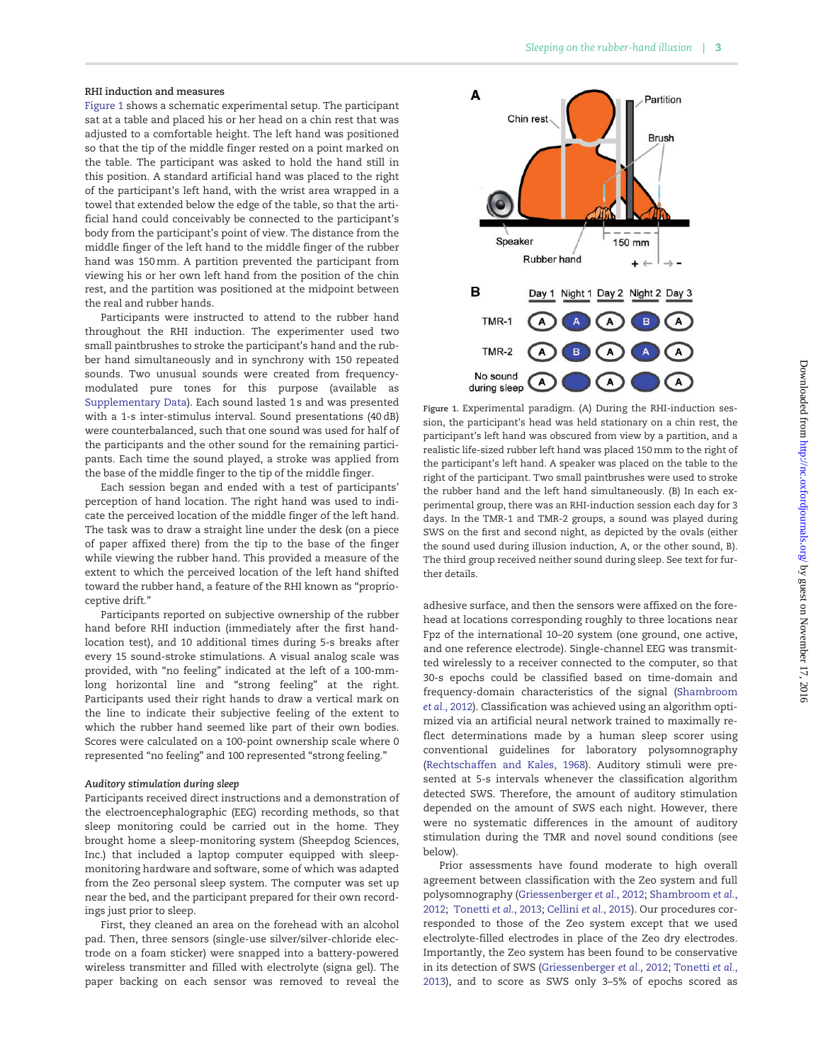#### RHI induction and measures

Figure 1 shows a schematic experimental setup. The participant sat at a table and placed his or her head on a chin rest that was adjusted to a comfortable height. The left hand was positioned so that the tip of the middle finger rested on a point marked on the table. The participant was asked to hold the hand still in this position. A standard artificial hand was placed to the right of the participant's left hand, with the wrist area wrapped in a towel that extended below the edge of the table, so that the artificial hand could conceivably be connected to the participant's body from the participant's point of view. The distance from the middle finger of the left hand to the middle finger of the rubber hand was 150 mm. A partition prevented the participant from viewing his or her own left hand from the position of the chin rest, and the partition was positioned at the midpoint between the real and rubber hands.

Participants were instructed to attend to the rubber hand throughout the RHI induction. The experimenter used two small paintbrushes to stroke the participant's hand and the rubber hand simultaneously and in synchrony with 150 repeated sounds. Two unusual sounds were created from frequencymodulated pure tones for this purpose (available as [Supplementary Data](http://nc.oxfordjournals.org/lookup/suppl/doi:10.1093/nc/niw020/-/DC1)). Each sound lasted 1 s and was presented with a 1-s inter-stimulus interval. Sound presentations (40 dB) were counterbalanced, such that one sound was used for half of the participants and the other sound for the remaining participants. Each time the sound played, a stroke was applied from the base of the middle finger to the tip of the middle finger.

Each session began and ended with a test of participants' perception of hand location. The right hand was used to indicate the perceived location of the middle finger of the left hand. The task was to draw a straight line under the desk (on a piece of paper affixed there) from the tip to the base of the finger while viewing the rubber hand. This provided a measure of the extent to which the perceived location of the left hand shifted toward the rubber hand, a feature of the RHI known as "proprioceptive drift."

Participants reported on subjective ownership of the rubber hand before RHI induction (immediately after the first handlocation test), and 10 additional times during 5-s breaks after every 15 sound-stroke stimulations. A visual analog scale was provided, with "no feeling" indicated at the left of a 100-mmlong horizontal line and "strong feeling" at the right. Participants used their right hands to draw a vertical mark on the line to indicate their subjective feeling of the extent to which the rubber hand seemed like part of their own bodies. Scores were calculated on a 100-point ownership scale where 0 represented "no feeling" and 100 represented "strong feeling."

#### Auditory stimulation during sleep

Participants received direct instructions and a demonstration of the electroencephalographic (EEG) recording methods, so that sleep monitoring could be carried out in the home. They brought home a sleep-monitoring system (Sheepdog Sciences, Inc.) that included a laptop computer equipped with sleepmonitoring hardware and software, some of which was adapted from the Zeo personal sleep system. The computer was set up near the bed, and the participant prepared for their own recordings just prior to sleep.

First, they cleaned an area on the forehead with an alcohol pad. Then, three sensors (single-use silver/silver-chloride electrode on a foam sticker) were snapped into a battery-powered wireless transmitter and filled with electrolyte (signa gel). The paper backing on each sensor was removed to reveal the



Figure 1. Experimental paradigm. (A) During the RHI-induction session, the participant's head was held stationary on a chin rest, the participant's left hand was obscured from view by a partition, and a realistic life-sized rubber left hand was placed 150 mm to the right of the participant's left hand. A speaker was placed on the table to the right of the participant. Two small paintbrushes were used to stroke the rubber hand and the left hand simultaneously. (B) In each experimental group, there was an RHI-induction session each day for 3 days. In the TMR-1 and TMR-2 groups, a sound was played during SWS on the first and second night, as depicted by the ovals (either the sound used during illusion induction, A, or the other sound, B). The third group received neither sound during sleep. See text for further details.

adhesive surface, and then the sensors were affixed on the forehead at locations corresponding roughly to three locations near Fpz of the international 10–20 system (one ground, one active, and one reference electrode). Single-channel EEG was transmitted wirelessly to a receiver connected to the computer, so that 30-s epochs could be classified based on time-domain and frequency-domain characteristics of the signal [\(Shambroom](#page-9-0) et al.[, 2012\)](#page-9-0). Classification was achieved using an algorithm optimized via an artificial neural network trained to maximally reflect determinations made by a human sleep scorer using conventional guidelines for laboratory polysomnography [\(Rechtschaffen and Kales, 1968\)](#page-8-0). Auditory stimuli were presented at 5-s intervals whenever the classification algorithm detected SWS. Therefore, the amount of auditory stimulation depended on the amount of SWS each night. However, there were no systematic differences in the amount of auditory stimulation during the TMR and novel sound conditions (see below).

Prior assessments have found moderate to high overall agreement between classification with the Zeo system and full polysomnography [\(Griessenberger](#page-8-0) et al., 2012; [Shambroom](#page-9-0) et al., [2012;](#page-9-0) [Tonetti](#page-9-0) et al., 2013; [Cellini](#page-7-0) et al., 2015). Our procedures corresponded to those of the Zeo system except that we used electrolyte-filled electrodes in place of the Zeo dry electrodes. Importantly, the Zeo system has been found to be conservative in its detection of SWS [\(Griessenberger](#page-8-0) et al., 2012; [Tonetti](#page-9-0) et al., [2013\)](#page-9-0), and to score as SWS only 3–5% of epochs scored as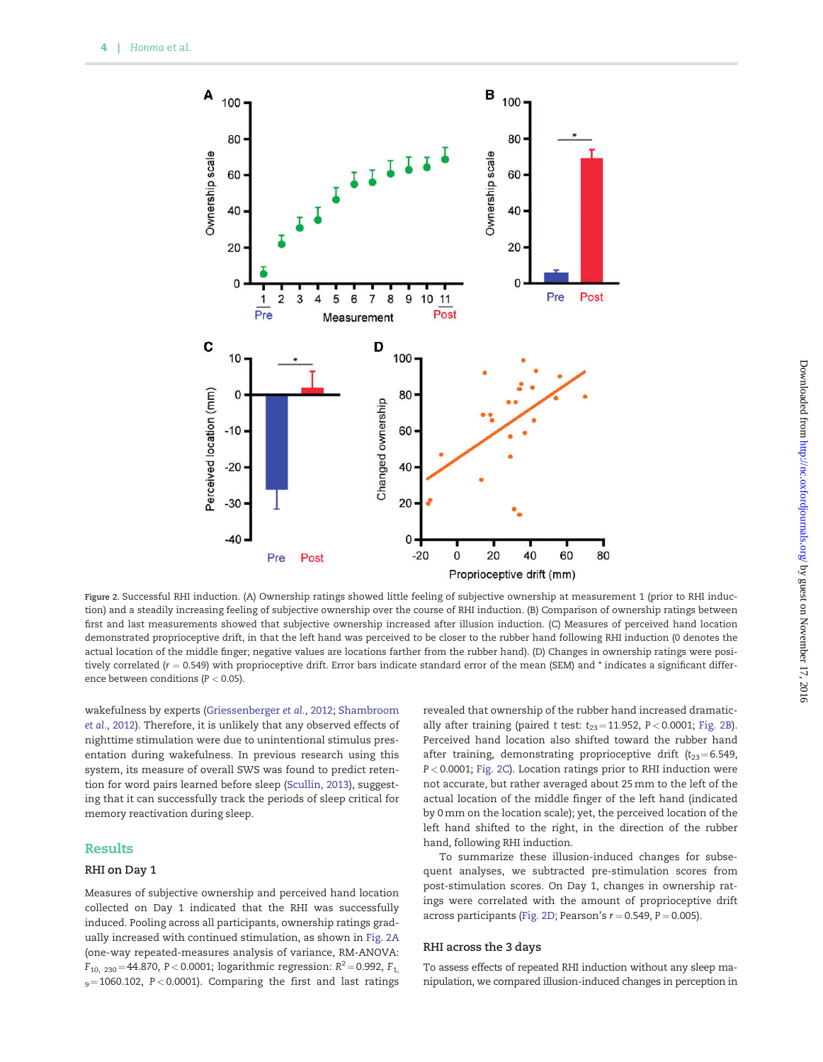<span id="page-3-0"></span>

Figure 2. Successful RHI induction. (A) Ownership ratings showed little feeling of subjective ownership at measurement 1 (prior to RHI induction) and a steadily increasing feeling of subjective ownership over the course of RHI induction. (B) Comparison of ownership ratings between first and last measurements showed that subjective ownership increased after illusion induction. (C) Measures of perceived hand location demonstrated proprioceptive drift, in that the left hand was perceived to be closer to the rubber hand following RHI induction (0 denotes the actual location of the middle finger; negative values are locations farther from the rubber hand). (D) Changes in ownership ratings were positively correlated  $(r = 0.549)$  with proprioceptive drift. Error bars indicate standard error of the mean (SEM) and  $*$  indicates a significant difference between conditions (P < 0.05).

wakefulness by experts ([Griessenberger](#page-8-0) et al., 2012; [Shambroom](#page-9-0) et al.[, 2012](#page-9-0)). Therefore, it is unlikely that any observed effects of nighttime stimulation were due to unintentional stimulus presentation during wakefulness. In previous research using this system, its measure of overall SWS was found to predict retention for word pairs learned before sleep ([Scullin, 2013\)](#page-9-0), suggesting that it can successfully track the periods of sleep critical for memory reactivation during sleep.

#### Results

## RHI on Day 1

Measures of subjective ownership and perceived hand location collected on Day 1 indicated that the RHI was successfully induced. Pooling across all participants, ownership ratings gradually increased with continued stimulation, as shown in Fig. 2A (one-way repeated-measures analysis of variance, RM-ANOVA:  $F_{10, 230} = 44.870$ , P < 0.0001; logarithmic regression: R<sup>2</sup> = 0.992, F<sub>1,</sub>  $9 = 1060.102$ , P < 0.0001). Comparing the first and last ratings revealed that ownership of the rubber hand increased dramatically after training (paired t test:  $t_{23} = 11.952$ ,  $P < 0.0001$ ; Fig. 2B). Perceived hand location also shifted toward the rubber hand after training, demonstrating proprioceptive drift ( $t_{23}$  = 6.549, P < 0.0001; Fig. 2C). Location ratings prior to RHI induction were not accurate, but rather averaged about 25 mm to the left of the actual location of the middle finger of the left hand (indicated by 0 mm on the location scale); yet, the perceived location of the left hand shifted to the right, in the direction of the rubber hand, following RHI induction.

To summarize these illusion-induced changes for subsequent analyses, we subtracted pre-stimulation scores from post-stimulation scores. On Day 1, changes in ownership ratings were correlated with the amount of proprioceptive drift across participants (Fig. 2D; Pearson's  $r = 0.549$ ,  $P = 0.005$ ).

#### RHI across the 3 days

To assess effects of repeated RHI induction without any sleep manipulation, we compared illusion-induced changes in perception in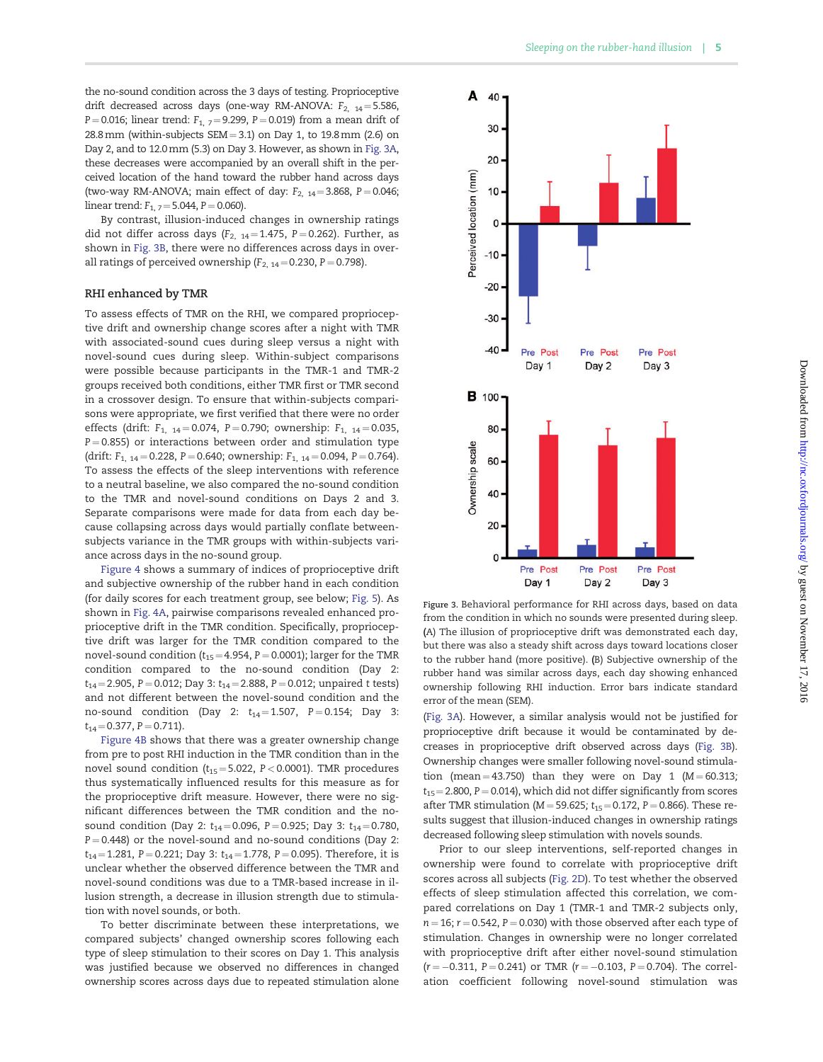<span id="page-4-0"></span>the no-sound condition across the 3 days of testing. Proprioceptive drift decreased across days (one-way RM-ANOVA:  $F_{2, 14} = 5.586$ , P = 0.016; linear trend:  $F_{1, 7} = 9.299$ , P = 0.019) from a mean drift of  $28.8 \text{ mm}$  (within-subjects  $SEM = 3.1$ ) on Day 1, to 19.8 mm (2.6) on Day 2, and to 12.0 mm (5.3) on Day 3. However, as shown in Fig. 3A, these decreases were accompanied by an overall shift in the perceived location of the hand toward the rubber hand across days (two-way RM-ANOVA; main effect of day:  $F_{2, 14} = 3.868$ ,  $P = 0.046$ ; linear trend:  $F_{1, 7} = 5.044$ ,  $P = 0.060$ ).

By contrast, illusion-induced changes in ownership ratings did not differ across days ( $F_{2, 14}$  = 1.475, P = 0.262). Further, as shown in Fig. 3B, there were no differences across days in overall ratings of perceived ownership ( $F_{2, 14}$  = 0.230, P = 0.798).

#### RHI enhanced by TMR

To assess effects of TMR on the RHI, we compared proprioceptive drift and ownership change scores after a night with TMR with associated-sound cues during sleep versus a night with novel-sound cues during sleep. Within-subject comparisons were possible because participants in the TMR-1 and TMR-2 groups received both conditions, either TMR first or TMR second in a crossover design. To ensure that within-subjects comparisons were appropriate, we first verified that there were no order effects (drift:  $F_{1, 14} = 0.074$ , P = 0.790; ownership:  $F_{1, 14} = 0.035$ ,  $P = 0.855$ ) or interactions between order and stimulation type (drift:  $F_{1, 14} = 0.228$ , P = 0.640; ownership:  $F_{1, 14} = 0.094$ , P = 0.764). To assess the effects of the sleep interventions with reference to a neutral baseline, we also compared the no-sound condition to the TMR and novel-sound conditions on Days 2 and 3. Separate comparisons were made for data from each day because collapsing across days would partially conflate betweensubjects variance in the TMR groups with within-subjects variance across days in the no-sound group.

[Figure 4](#page-5-0) shows a summary of indices of proprioceptive drift and subjective ownership of the rubber hand in each condition (for daily scores for each treatment group, see below; [Fig. 5](#page-5-0)). As shown in [Fig. 4A,](#page-5-0) pairwise comparisons revealed enhanced proprioceptive drift in the TMR condition. Specifically, proprioceptive drift was larger for the TMR condition compared to the novel-sound condition ( $t_{15}$  = 4.954, P = 0.0001); larger for the TMR condition compared to the no-sound condition (Day 2:  $t_{14}$  = 2.905, P = 0.012; Day 3:  $t_{14}$  = 2.888, P = 0.012; unpaired t tests) and not different between the novel-sound condition and the no-sound condition (Day 2:  $t_{14} = 1.507$ ,  $P = 0.154$ ; Day 3:  $t_{14} = 0.377$ ,  $P = 0.711$ ).

[Figure 4B](#page-5-0) shows that there was a greater ownership change from pre to post RHI induction in the TMR condition than in the novel sound condition ( $t_{15}$ =5.022, P < 0.0001). TMR procedures thus systematically influenced results for this measure as for the proprioceptive drift measure. However, there were no significant differences between the TMR condition and the nosound condition (Day 2:  $t_{14} = 0.096$ , P = 0.925; Day 3:  $t_{14} = 0.780$ ,  $P = 0.448$ ) or the novel-sound and no-sound conditions (Day 2:  $t_{14}$  = 1.281, P = 0.221; Day 3:  $t_{14}$  = 1.778, P = 0.095). Therefore, it is unclear whether the observed difference between the TMR and novel-sound conditions was due to a TMR-based increase in illusion strength, a decrease in illusion strength due to stimulation with novel sounds, or both.

To better discriminate between these interpretations, we compared subjects' changed ownership scores following each type of sleep stimulation to their scores on Day 1. This analysis was justified because we observed no differences in changed ownership scores across days due to repeated stimulation alone



Figure 3. Behavioral performance for RHI across days, based on data from the condition in which no sounds were presented during sleep. (A) The illusion of proprioceptive drift was demonstrated each day, but there was also a steady shift across days toward locations closer to the rubber hand (more positive). (B) Subjective ownership of the rubber hand was similar across days, each day showing enhanced ownership following RHI induction. Error bars indicate standard error of the mean (SEM).

(Fig. 3A). However, a similar analysis would not be justified for proprioceptive drift because it would be contaminated by decreases in proprioceptive drift observed across days (Fig. 3B). Ownership changes were smaller following novel-sound stimulation (mean = 43.750) than they were on Day 1 ( $M = 60.313$ ;  $t_{15}$  = 2.800, P = 0.014), which did not differ significantly from scores after TMR stimulation ( $M = 59.625$ ;  $t_{15} = 0.172$ ,  $P = 0.866$ ). These results suggest that illusion-induced changes in ownership ratings decreased following sleep stimulation with novels sounds.

Prior to our sleep interventions, self-reported changes in ownership were found to correlate with proprioceptive drift scores across all subjects ([Fig. 2D](#page-3-0)). To test whether the observed effects of sleep stimulation affected this correlation, we compared correlations on Day 1 (TMR-1 and TMR-2 subjects only,  $n = 16$ ;  $r = 0.542$ ,  $P = 0.030$ ) with those observed after each type of stimulation. Changes in ownership were no longer correlated with proprioceptive drift after either novel-sound stimulation  $(r = -0.311, P = 0.241)$  or TMR  $(r = -0.103, P = 0.704)$ . The correlation coefficient following novel-sound stimulation was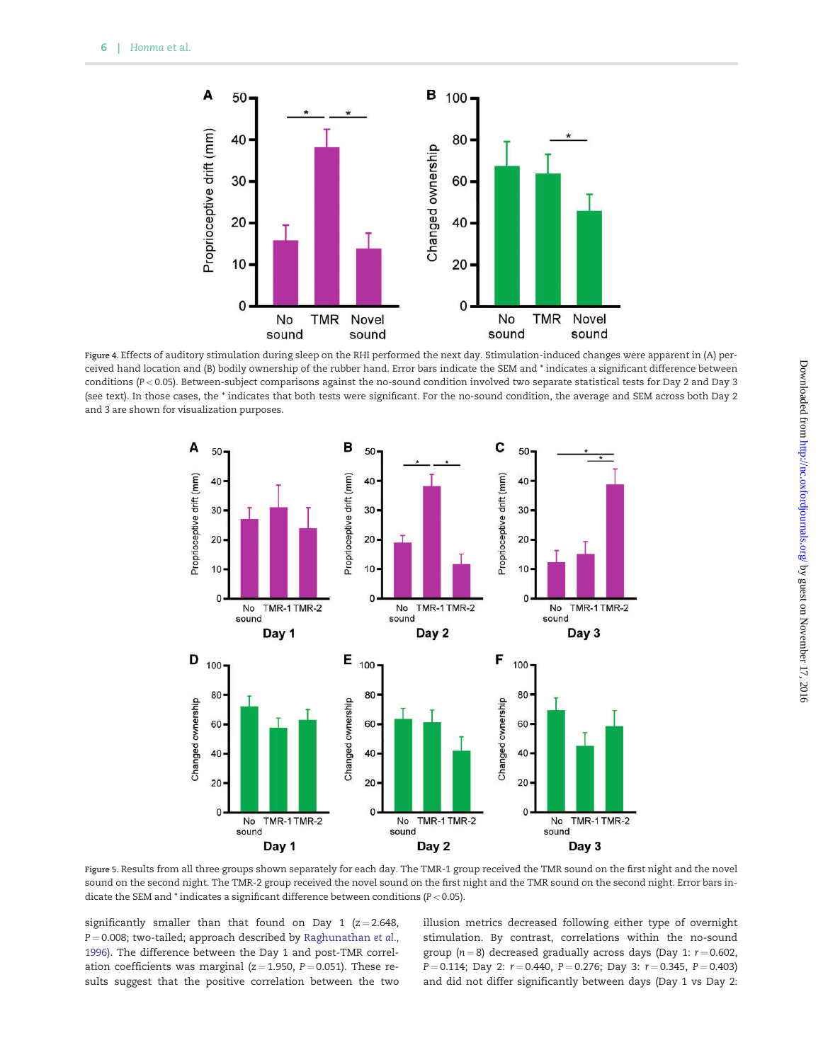<span id="page-5-0"></span>

Figure 4. Effects of auditory stimulation during sleep on the RHI performed the next day. Stimulation-induced changes were apparent in (A) perceived hand location and (B) bodily ownership of the rubber hand. Error bars indicate the SEM and \* indicates a significant difference between conditions (P < 0.05). Between-subject comparisons against the no-sound condition involved two separate statistical tests for Day 2 and Day 3 (see text). In those cases, the \* indicates that both tests were significant. For the no-sound condition, the average and SEM across both Day 2 and 3 are shown for visualization purposes.



Figure 5. Results from all three groups shown separately for each day. The TMR-1 group received the TMR sound on the first night and the novel sound on the second night. The TMR-2 group received the novel sound on the first night and the TMR sound on the second night. Error bars indicate the SEM and  $*$  indicates a significant difference between conditions ( $P < 0.05$ ).

significantly smaller than that found on Day 1 ( $z = 2.648$ ,  $P = 0.008$ ; two-tailed; approach described by [Raghunathan](#page-8-0) et al., [1996\)](#page-8-0). The difference between the Day 1 and post-TMR correlation coefficients was marginal ( $z = 1.950$ ,  $P = 0.051$ ). These results suggest that the positive correlation between the two illusion metrics decreased following either type of overnight stimulation. By contrast, correlations within the no-sound group ( $n = 8$ ) decreased gradually across days (Day 1:  $r = 0.602$ ,  $P = 0.114$ ; Day 2:  $r = 0.440$ ,  $P = 0.276$ ; Day 3:  $r = 0.345$ ,  $P = 0.403$ ) and did not differ significantly between days (Day 1 vs Day 2: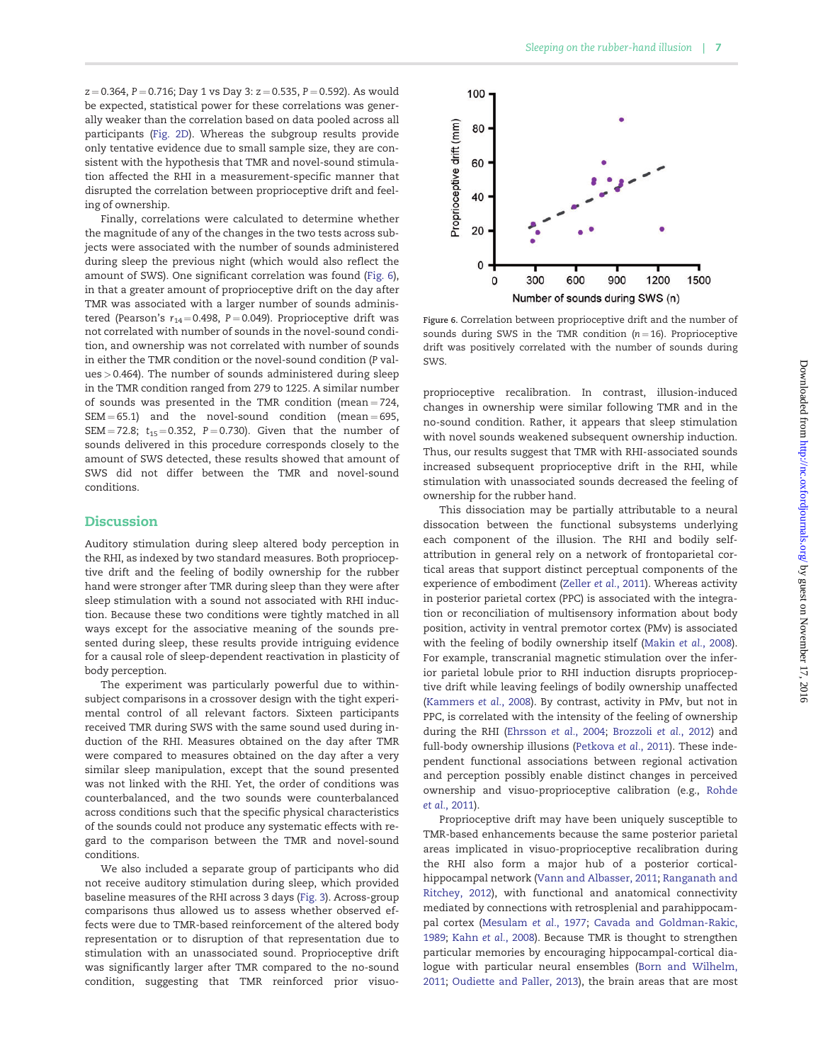$z = 0.364$ , P  $= 0.716$ ; Day 1 vs Day 3:  $z = 0.535$ , P  $= 0.592$ ). As would be expected, statistical power for these correlations was generally weaker than the correlation based on data pooled across all participants ([Fig. 2D](#page-3-0)). Whereas the subgroup results provide only tentative evidence due to small sample size, they are consistent with the hypothesis that TMR and novel-sound stimulation affected the RHI in a measurement-specific manner that disrupted the correlation between proprioceptive drift and feeling of ownership.

Finally, correlations were calculated to determine whether the magnitude of any of the changes in the two tests across subjects were associated with the number of sounds administered during sleep the previous night (which would also reflect the amount of SWS). One significant correlation was found (Fig. 6), in that a greater amount of proprioceptive drift on the day after TMR was associated with a larger number of sounds administered (Pearson's  $r_{14} = 0.498$ , P = 0.049). Proprioceptive drift was not correlated with number of sounds in the novel-sound condition, and ownership was not correlated with number of sounds in either the TMR condition or the novel-sound condition (P values > 0.464). The number of sounds administered during sleep in the TMR condition ranged from 279 to 1225. A similar number of sounds was presented in the TMR condition (mean  $= 724$ ,  $SEM = 65.1$ ) and the novel-sound condition (mean = 695, SEM = 72.8;  $t_{15} = 0.352$ , P = 0.730). Given that the number of sounds delivered in this procedure corresponds closely to the amount of SWS detected, these results showed that amount of SWS did not differ between the TMR and novel-sound conditions.

# **Discussion**

Auditory stimulation during sleep altered body perception in the RHI, as indexed by two standard measures. Both proprioceptive drift and the feeling of bodily ownership for the rubber hand were stronger after TMR during sleep than they were after sleep stimulation with a sound not associated with RHI induction. Because these two conditions were tightly matched in all ways except for the associative meaning of the sounds presented during sleep, these results provide intriguing evidence for a causal role of sleep-dependent reactivation in plasticity of body perception.

The experiment was particularly powerful due to withinsubject comparisons in a crossover design with the tight experimental control of all relevant factors. Sixteen participants received TMR during SWS with the same sound used during induction of the RHI. Measures obtained on the day after TMR were compared to measures obtained on the day after a very similar sleep manipulation, except that the sound presented was not linked with the RHI. Yet, the order of conditions was counterbalanced, and the two sounds were counterbalanced across conditions such that the specific physical characteristics of the sounds could not produce any systematic effects with regard to the comparison between the TMR and novel-sound conditions.

We also included a separate group of participants who did not receive auditory stimulation during sleep, which provided baseline measures of the RHI across 3 days [\(Fig. 3](#page-4-0)). Across-group comparisons thus allowed us to assess whether observed effects were due to TMR-based reinforcement of the altered body representation or to disruption of that representation due to stimulation with an unassociated sound. Proprioceptive drift was significantly larger after TMR compared to the no-sound condition, suggesting that TMR reinforced prior visuo-



Figure 6. Correlation between proprioceptive drift and the number of sounds during SWS in the TMR condition ( $n = 16$ ). Proprioceptive drift was positively correlated with the number of sounds during SWS.

proprioceptive recalibration. In contrast, illusion-induced changes in ownership were similar following TMR and in the no-sound condition. Rather, it appears that sleep stimulation with novel sounds weakened subsequent ownership induction. Thus, our results suggest that TMR with RHI-associated sounds increased subsequent proprioceptive drift in the RHI, while stimulation with unassociated sounds decreased the feeling of ownership for the rubber hand.

This dissociation may be partially attributable to a neural dissocation between the functional subsystems underlying each component of the illusion. The RHI and bodily selfattribution in general rely on a network of frontoparietal cortical areas that support distinct perceptual components of the experience of embodiment [\(Zeller](#page-9-0) et al., 2011). Whereas activity in posterior parietal cortex (PPC) is associated with the integration or reconciliation of multisensory information about body position, activity in ventral premotor cortex (PMv) is associated with the feeling of bodily ownership itself ([Makin](#page-8-0) et al., 2008). For example, transcranial magnetic stimulation over the inferior parietal lobule prior to RHI induction disrupts proprioceptive drift while leaving feelings of bodily ownership unaffected [\(Kammers](#page-8-0) et al., 2008). By contrast, activity in PMv, but not in PPC, is correlated with the intensity of the feeling of ownership during the RHI ([Ehrsson](#page-8-0) et al., 2004; [Brozzoli](#page-7-0) et al., 2012) and full-body ownership illusions ([Petkova](#page-8-0) et al., 2011). These independent functional associations between regional activation and perception possibly enable distinct changes in perceived ownership and visuo-proprioceptive calibration (e.g., [Rohde](#page-8-0) et al.[, 2011\)](#page-8-0).

Proprioceptive drift may have been uniquely susceptible to TMR-based enhancements because the same posterior parietal areas implicated in visuo-proprioceptive recalibration during the RHI also form a major hub of a posterior corticalhippocampal network (Vann and Albasser, 2011; [Ranganath and](#page-8-0) [Ritchey, 2012\)](#page-8-0), with functional and anatomical connectivity mediated by connections with retrosplenial and parahippocampal cortex ([Mesulam](#page-8-0) et al., 1977; [Cavada and Goldman-Rakic,](#page-7-0) [1989;](#page-7-0) Kahn et al.[, 2008\)](#page-8-0). Because TMR is thought to strengthen particular memories by encouraging hippocampal-cortical dialogue with particular neural ensembles [\(Born and Wilhelm,](#page-7-0) [2011;](#page-7-0) [Oudiette and Paller, 2013\)](#page-8-0), the brain areas that are most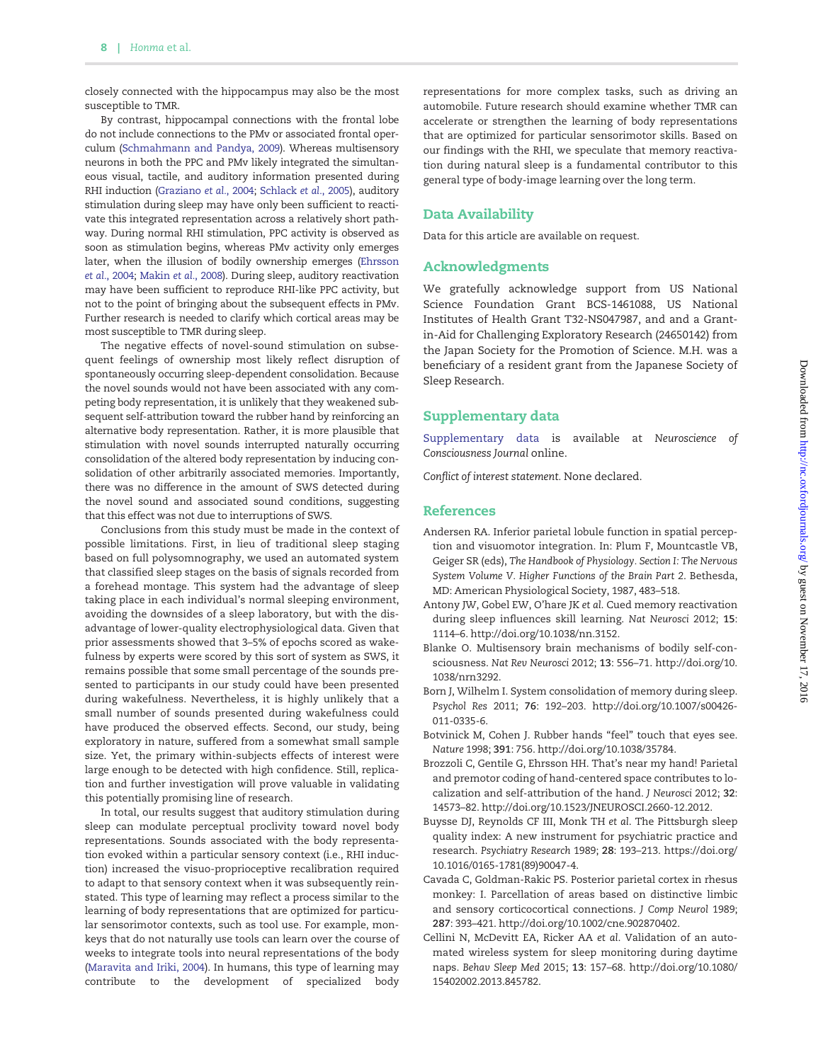<span id="page-7-0"></span>closely connected with the hippocampus may also be the most susceptible to TMR.

By contrast, hippocampal connections with the frontal lobe do not include connections to the PMv or associated frontal operculum [\(Schmahmann and Pandya, 2009](#page-8-0)). Whereas multisensory neurons in both the PPC and PMv likely integrated the simultaneous visual, tactile, and auditory information presented during RHI induction ([Graziano](#page-8-0) et al., 2004; [Schlack](#page-8-0) et al., 2005), auditory stimulation during sleep may have only been sufficient to reactivate this integrated representation across a relatively short pathway. During normal RHI stimulation, PPC activity is observed as soon as stimulation begins, whereas PMv activity only emerges later, when the illusion of bodily ownership emerges [\(Ehrsson](#page-8-0) et al.[, 2004;](#page-8-0) [Makin](#page-8-0) et al., 2008). During sleep, auditory reactivation may have been sufficient to reproduce RHI-like PPC activity, but not to the point of bringing about the subsequent effects in PMv. Further research is needed to clarify which cortical areas may be most susceptible to TMR during sleep.

The negative effects of novel-sound stimulation on subsequent feelings of ownership most likely reflect disruption of spontaneously occurring sleep-dependent consolidation. Because the novel sounds would not have been associated with any competing body representation, it is unlikely that they weakened subsequent self-attribution toward the rubber hand by reinforcing an alternative body representation. Rather, it is more plausible that stimulation with novel sounds interrupted naturally occurring consolidation of the altered body representation by inducing consolidation of other arbitrarily associated memories. Importantly, there was no difference in the amount of SWS detected during the novel sound and associated sound conditions, suggesting that this effect was not due to interruptions of SWS.

Conclusions from this study must be made in the context of possible limitations. First, in lieu of traditional sleep staging based on full polysomnography, we used an automated system that classified sleep stages on the basis of signals recorded from a forehead montage. This system had the advantage of sleep taking place in each individual's normal sleeping environment, avoiding the downsides of a sleep laboratory, but with the disadvantage of lower-quality electrophysiological data. Given that prior assessments showed that 3–5% of epochs scored as wakefulness by experts were scored by this sort of system as SWS, it remains possible that some small percentage of the sounds presented to participants in our study could have been presented during wakefulness. Nevertheless, it is highly unlikely that a small number of sounds presented during wakefulness could have produced the observed effects. Second, our study, being exploratory in nature, suffered from a somewhat small sample size. Yet, the primary within-subjects effects of interest were large enough to be detected with high confidence. Still, replication and further investigation will prove valuable in validating this potentially promising line of research.

In total, our results suggest that auditory stimulation during sleep can modulate perceptual proclivity toward novel body representations. Sounds associated with the body representation evoked within a particular sensory context (i.e., RHI induction) increased the visuo-proprioceptive recalibration required to adapt to that sensory context when it was subsequently reinstated. This type of learning may reflect a process similar to the learning of body representations that are optimized for particular sensorimotor contexts, such as tool use. For example, monkeys that do not naturally use tools can learn over the course of weeks to integrate tools into neural representations of the body [\(Maravita and Iriki, 2004](#page-8-0)). In humans, this type of learning may contribute to the development of specialized body representations for more complex tasks, such as driving an automobile. Future research should examine whether TMR can accelerate or strengthen the learning of body representations that are optimized for particular sensorimotor skills. Based on our findings with the RHI, we speculate that memory reactivation during natural sleep is a fundamental contributor to this general type of body-image learning over the long term.

# Data Availability

Data for this article are available on request.

# Acknowledgments

We gratefully acknowledge support from US National Science Foundation Grant BCS-1461088, US National Institutes of Health Grant T32-NS047987, and and a Grantin-Aid for Challenging Exploratory Research (24650142) from the Japan Society for the Promotion of Science. M.H. was a beneficiary of a resident grant from the Japanese Society of Sleep Research.

### Supplementary data

[Supplementary data](http://nc.oxfordjournals.org/lookup/suppl/doi:10.1093/nc/niw020/-/DC1) is available at Neuroscience of Consciousness Journal online.

Conflict of interest statement. None declared.

#### **References**

- Andersen RA. Inferior parietal lobule function in spatial perception and visuomotor integration. In: Plum F, Mountcastle VB, Geiger SR (eds), The Handbook of Physiology. Section I: The Nervous System Volume V. Higher Functions of the Brain Part 2. Bethesda, MD: American Physiological Society, 1987, 483–518.
- Antony JW, Gobel EW, O'hare JK et al. Cued memory reactivation during sleep influences skill learning. Nat Neurosci 2012; 15: 1114–6. [http://doi.org/10.1038/nn.3152.](http://doi.org/10.1038/nn.3152)
- Blanke O. Multisensory brain mechanisms of bodily self-consciousness. Nat Rev Neurosci 2012; 13: 556–71. [http://doi.org/10.](http://doi.org/10.1038/nrn3292) [1038/nrn3292](http://doi.org/10.1038/nrn3292).
- Born J, Wilhelm I. System consolidation of memory during sleep. Psychol Res 2011; 76: 192–203. [http://doi.org/10.1007/s00426-](http://doi.org/10.1007/s00426-011-0335-6) [011-0335-6](http://doi.org/10.1007/s00426-011-0335-6).
- Botvinick M, Cohen J. Rubber hands "feel" touch that eyes see. Nature 1998; 391: 756. [http://doi.org/10.1038/35784.](http://doi.org/10.1038/35784)
- Brozzoli C, Gentile G, Ehrsson HH. That's near my hand! Parietal and premotor coding of hand-centered space contributes to localization and self-attribution of the hand. J Neurosci 2012; 32: 14573–82.<http://doi.org/10.1523/JNEUROSCI.2660-12.2012>.
- Buysse DJ, Reynolds CF III, Monk TH et al. The Pittsburgh sleep quality index: A new instrument for psychiatric practice and research. Psychiatry Research 1989; 28: 193–213. [https://doi.org/](https://doi.org/10.1016/0165-1781(89)90047-4) [10.1016/0165-1781\(89\)90047-4.](https://doi.org/10.1016/0165-1781(89)90047-4)
- Cavada C, Goldman-Rakic PS. Posterior parietal cortex in rhesus monkey: I. Parcellation of areas based on distinctive limbic and sensory corticocortical connections. J Comp Neurol 1989; 287: 393–421.<http://doi.org/10.1002/cne.902870402>.
- Cellini N, McDevitt EA, Ricker AA et al. Validation of an automated wireless system for sleep monitoring during daytime naps. Behav Sleep Med 2015; 13: 157–68. [http://doi.org/10.1080/](http://doi.org/10.1080/15402002.2013.845782) [15402002.2013.845782.](http://doi.org/10.1080/15402002.2013.845782)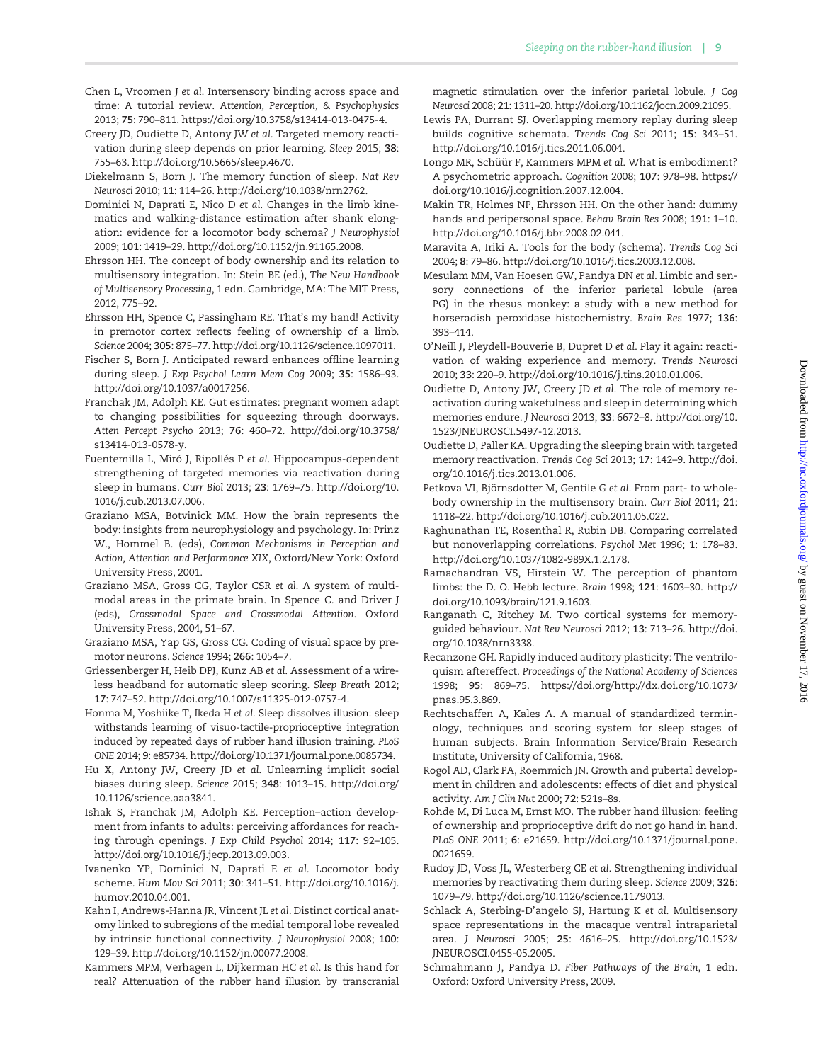- <span id="page-8-0"></span>Chen L, Vroomen J et al. Intersensory binding across space and time: A tutorial review. Attention, Perception, & Psychophysics 2013; 75: 790–811.<https://doi.org/10.3758/s13414-013-0475-4>.
- Creery JD, Oudiette D, Antony JW et al. Targeted memory reactivation during sleep depends on prior learning. Sleep 2015; 38: 755–63. [http://doi.org/10.5665/sleep.4670.](http://doi.org/10.5665/sleep.4670)
- Diekelmann S, Born J. The memory function of sleep. Nat Rev Neurosci 2010; 11: 114–26. [http://doi.org/10.1038/nrn2762.](http://doi.org/10.1038/nrn2762)
- Dominici N, Daprati E, Nico D et al. Changes in the limb kinematics and walking-distance estimation after shank elongation: evidence for a locomotor body schema? J Neurophysiol 2009; 101: 1419–29. [http://doi.org/10.1152/jn.91165.2008.](http://doi.org/10.1152/jn.91165.2008)
- Ehrsson HH. The concept of body ownership and its relation to multisensory integration. In: Stein BE (ed.), The New Handbook of Multisensory Processing, 1 edn. Cambridge, MA: The MIT Press, 2012, 775–92.
- Ehrsson HH, Spence C, Passingham RE. That's my hand! Activity in premotor cortex reflects feeling of ownership of a limb. Science 2004; 305: 875–77. [http://doi.org/10.1126/science.1097011.](http://doi.org/10.1126/science.1097011)
- Fischer S, Born J. Anticipated reward enhances offline learning during sleep. J Exp Psychol Learn Mem Cog 2009; 35: 1586–93. <http://doi.org/10.1037/a0017256>.
- Franchak JM, Adolph KE. Gut estimates: pregnant women adapt to changing possibilities for squeezing through doorways. Atten Percept Psycho 2013; 76: 460–72. [http://doi.org/10.3758/](http://doi.org/10.3758/s13414-013-0578-y) [s13414-013-0578-y](http://doi.org/10.3758/s13414-013-0578-y).
- Fuentemilla L, Miró J, Ripollés P et al. Hippocampus-dependent strengthening of targeted memories via reactivation during sleep in humans. Curr Biol 2013; 23: 1769–75. [http://doi.org/10.](http://doi.org/10.1016/j.cub.2013.07.006) [1016/j.cub.2013.07.006](http://doi.org/10.1016/j.cub.2013.07.006).
- Graziano MSA, Botvinick MM. How the brain represents the body: insights from neurophysiology and psychology. In: Prinz W., Hommel B. (eds), Common Mechanisms in Perception and Action, Attention and Performance XIX, Oxford/New York: Oxford University Press, 2001.
- Graziano MSA, Gross CG, Taylor CSR et al. A system of multimodal areas in the primate brain. In Spence C. and Driver J (eds), Crossmodal Space and Crossmodal Attention. Oxford University Press, 2004, 51–67.
- Graziano MSA, Yap GS, Gross CG. Coding of visual space by premotor neurons. Science 1994; 266: 1054–7.
- Griessenberger H, Heib DPJ, Kunz AB et al. Assessment of a wireless headband for automatic sleep scoring. Sleep Breath 2012; 17: 747–52.<http://doi.org/10.1007/s11325-012-0757-4>.
- Honma M, Yoshiike T, Ikeda H et al. Sleep dissolves illusion: sleep withstands learning of visuo-tactile-proprioceptive integration induced by repeated days of rubber hand illusion training. PLoS ONE 2014; 9: e85734.<http://doi.org/10.1371/journal.pone.0085734>.
- Hu X, Antony JW, Creery JD et al. Unlearning implicit social biases during sleep. Science 2015; 348: 1013–15. [http://doi.org/](http://doi.org/10.1126/science.aaa3841) [10.1126/science.aaa3841](http://doi.org/10.1126/science.aaa3841).
- Ishak S, Franchak JM, Adolph KE. Perception–action development from infants to adults: perceiving affordances for reaching through openings. J Exp Child Psychol 2014; 117: 92–105. [http://doi.org/10.1016/j.jecp.2013.09.003.](http://doi.org/10.1016/j.jecp.2013.09.003)
- Ivanenko YP, Dominici N, Daprati E et al. Locomotor body scheme. Hum Mov Sci 2011; 30: 341–51. [http://doi.org/10.1016/j.](http://doi.org/10.1016/j.humov.2010.04.001) [humov.2010.04.001.](http://doi.org/10.1016/j.humov.2010.04.001)
- Kahn I, Andrews-Hanna JR, Vincent JL et al. Distinct cortical anatomy linked to subregions of the medial temporal lobe revealed by intrinsic functional connectivity. J Neurophysiol 2008; 100: 129–39. [http://doi.org/10.1152/jn.00077.2008.](http://doi.org/10.1152/jn.00077.2008)
- Kammers MPM, Verhagen L, Dijkerman HC et al. Is this hand for real? Attenuation of the rubber hand illusion by transcranial

magnetic stimulation over the inferior parietal lobule. J Cog Neurosci 2008; 21: 1311–20.<http://doi.org/10.1162/jocn.2009.21095>.

- Lewis PA, Durrant SJ. Overlapping memory replay during sleep builds cognitive schemata. Trends Cog Sci 2011; 15: 343–51. <http://doi.org/10.1016/j.tics.2011.06.004>.
- Longo MR, Schüür F, Kammers MPM et al. What is embodiment? A psychometric approach. Cognition 2008; 107: 978–98. [https://](https://doi.org/10.1016/j.cognition.2007.12.004) [doi.org/10.1016/j.cognition.2007.12.004](https://doi.org/10.1016/j.cognition.2007.12.004).
- Makin TR, Holmes NP, Ehrsson HH. On the other hand: dummy hands and peripersonal space. Behav Brain Res 2008; 191: 1–10. <http://doi.org/10.1016/j.bbr.2008.02.041>.
- Maravita A, Iriki A. Tools for the body (schema). Trends Cog Sci 2004; 8: 79–86. [http://doi.org/10.1016/j.tics.2003.12.008.](http://doi.org/10.1016/j.tics.2003.12.008)
- Mesulam MM, Van Hoesen GW, Pandya DN et al. Limbic and sensory connections of the inferior parietal lobule (area PG) in the rhesus monkey: a study with a new method for horseradish peroxidase histochemistry. Brain Res 1977; 136: 393–414.
- O'Neill J, Pleydell-Bouverie B, Dupret D et al. Play it again: reactivation of waking experience and memory. Trends Neurosci 2010; 33: 220–9.<http://doi.org/10.1016/j.tins.2010.01.006>.
- Oudiette D, Antony JW, Creery JD et al. The role of memory reactivation during wakefulness and sleep in determining which memories endure. J Neurosci 2013; 33: 6672–8. [http://doi.org/10.](http://doi.org/10.1523/JNEUROSCI.5497-12.2013) [1523/JNEUROSCI.5497-12.2013.](http://doi.org/10.1523/JNEUROSCI.5497-12.2013)
- Oudiette D, Paller KA. Upgrading the sleeping brain with targeted memory reactivation. Trends Cog Sci 2013; 17: 142–9. [http://doi.](http://doi.org/10.1016/j.tics.2013.01.006) [org/10.1016/j.tics.2013.01.006.](http://doi.org/10.1016/j.tics.2013.01.006)
- Petkova VI, Björnsdotter M, Gentile G et al. From part- to wholebody ownership in the multisensory brain. Curr Biol 2011; 21: 1118–22. [http://doi.org/10.1016/j.cub.2011.05.022.](http://doi.org/10.1016/j.cub.2011.05.022)
- Raghunathan TE, Rosenthal R, Rubin DB. Comparing correlated but nonoverlapping correlations. Psychol Met 1996; 1: 178–83. [http://doi.org/10.1037/1082-989X.1.2.178.](http://doi.org/10.1037/1082-989X.1.2.178)
- Ramachandran VS, Hirstein W. The perception of phantom limbs: the D. O. Hebb lecture. Brain 1998; 121: 1603–30. [http://](http://doi.org/10.1093/brain/121.9.1603) [doi.org/10.1093/brain/121.9.1603.](http://doi.org/10.1093/brain/121.9.1603)
- Ranganath C, Ritchey M. Two cortical systems for memoryguided behaviour. Nat Rev Neurosci 2012; 13: 713–26. [http://doi.](http://doi.org/10.1038/nrn3338) [org/10.1038/nrn3338.](http://doi.org/10.1038/nrn3338)
- Recanzone GH. Rapidly induced auditory plasticity: The ventriloquism aftereffect. Proceedings of the National Academy of Sciences 1998; 95: 869–75. [https://doi.org/http://dx.doi.org/10.1073/](https://doi.org/http://dx.doi.org/10.1073/pnas.95.3.869) [pnas.95.3.869.](https://doi.org/http://dx.doi.org/10.1073/pnas.95.3.869)
- Rechtschaffen A, Kales A. A manual of standardized terminology, techniques and scoring system for sleep stages of human subjects. Brain Information Service/Brain Research Institute, University of California, 1968.
- Rogol AD, Clark PA, Roemmich JN. Growth and pubertal development in children and adolescents: effects of diet and physical activity. Am J Clin Nut 2000; 72: 521s–8s.
- Rohde M, Di Luca M, Ernst MO. The rubber hand illusion: feeling of ownership and proprioceptive drift do not go hand in hand. PLoS ONE 2011; 6: e21659. [http://doi.org/10.1371/journal.pone.](http://doi.org/10.1371/journal.pone.0021659) [0021659](http://doi.org/10.1371/journal.pone.0021659).
- Rudoy JD, Voss JL, Westerberg CE et al. Strengthening individual memories by reactivating them during sleep. Science 2009; 326: 1079–79.<http://doi.org/10.1126/science.1179013>.
- Schlack A, Sterbing-D'angelo SJ, Hartung K et al. Multisensory space representations in the macaque ventral intraparietal area. J Neurosci 2005; 25: 4616–25. [http://doi.org/10.1523/](http://doi.org/10.1523/JNEUROSCI.0455-05.2005) [JNEUROSCI.0455-05.2005](http://doi.org/10.1523/JNEUROSCI.0455-05.2005).
- Schmahmann J, Pandya D. Fiber Pathways of the Brain, 1 edn. Oxford: Oxford University Press, 2009.